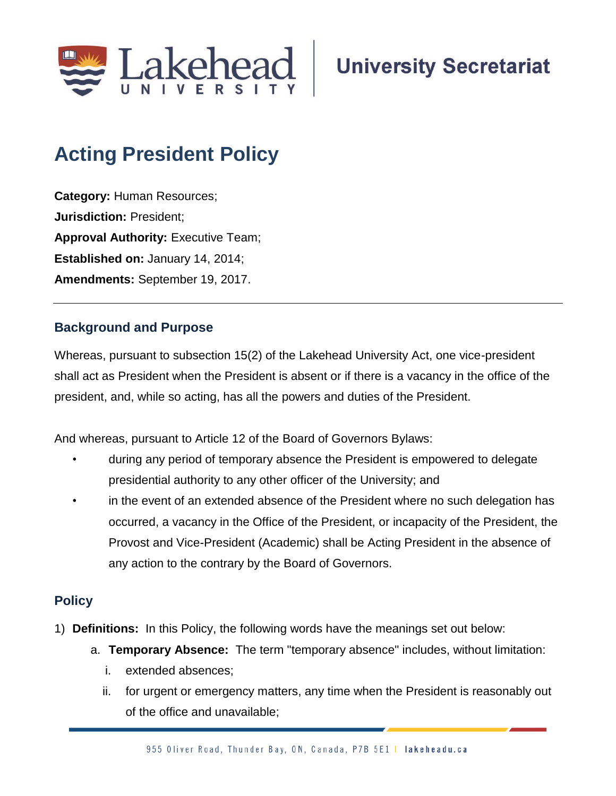

## **Acting President Policy**

**Category:** Human Resources; **Jurisdiction:** President; **Approval Authority: Executive Team; Established on:** January 14, 2014; **Amendments:** September 19, 2017.

## **Background and Purpose**

Whereas, pursuant to subsection 15(2) of the Lakehead University Act, one vice-president shall act as President when the President is absent or if there is a vacancy in the office of the president, and, while so acting, has all the powers and duties of the President.

And whereas, pursuant to Article 12 of the Board of Governors Bylaws:

- during any period of temporary absence the President is empowered to delegate presidential authority to any other officer of the University; and
- in the event of an extended absence of the President where no such delegation has occurred, a vacancy in the Office of the President, or incapacity of the President, the Provost and Vice-President (Academic) shall be Acting President in the absence of any action to the contrary by the Board of Governors.

## **Policy**

- 1) **Definitions:** In this Policy, the following words have the meanings set out below:
	- a. **Temporary Absence:** The term "temporary absence" includes, without limitation:
		- i. extended absences;
		- ii. for urgent or emergency matters, any time when the President is reasonably out of the office and unavailable;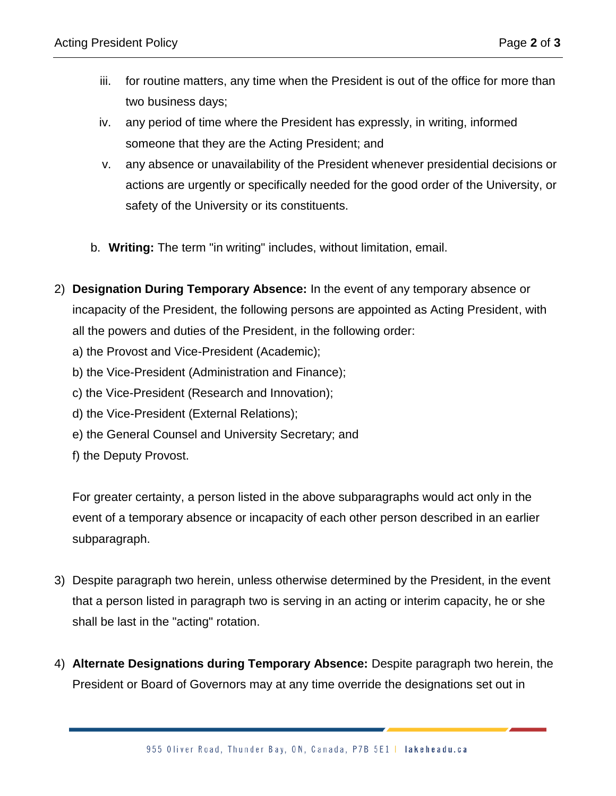- iii. for routine matters, any time when the President is out of the office for more than two business days;
- iv. any period of time where the President has expressly, in writing, informed someone that they are the Acting President; and
- v. any absence or unavailability of the President whenever presidential decisions or actions are urgently or specifically needed for the good order of the University, or safety of the University or its constituents.
- b. **Writing:** The term "in writing" includes, without limitation, email.
- 2) **Designation During Temporary Absence:** In the event of any temporary absence or incapacity of the President, the following persons are appointed as Acting President, with all the powers and duties of the President, in the following order:
	- a) the Provost and Vice-President (Academic);
	- b) the Vice-President (Administration and Finance);
	- c) the Vice-President (Research and Innovation);
	- d) the Vice-President (External Relations);
	- e) the General Counsel and University Secretary; and
	- f) the Deputy Provost.

For greater certainty, a person listed in the above subparagraphs would act only in the event of a temporary absence or incapacity of each other person described in an earlier subparagraph.

- 3) Despite paragraph two herein, unless otherwise determined by the President, in the event that a person listed in paragraph two is serving in an acting or interim capacity, he or she shall be last in the "acting" rotation.
- 4) **Alternate Designations during Temporary Absence:** Despite paragraph two herein, the President or Board of Governors may at any time override the designations set out in